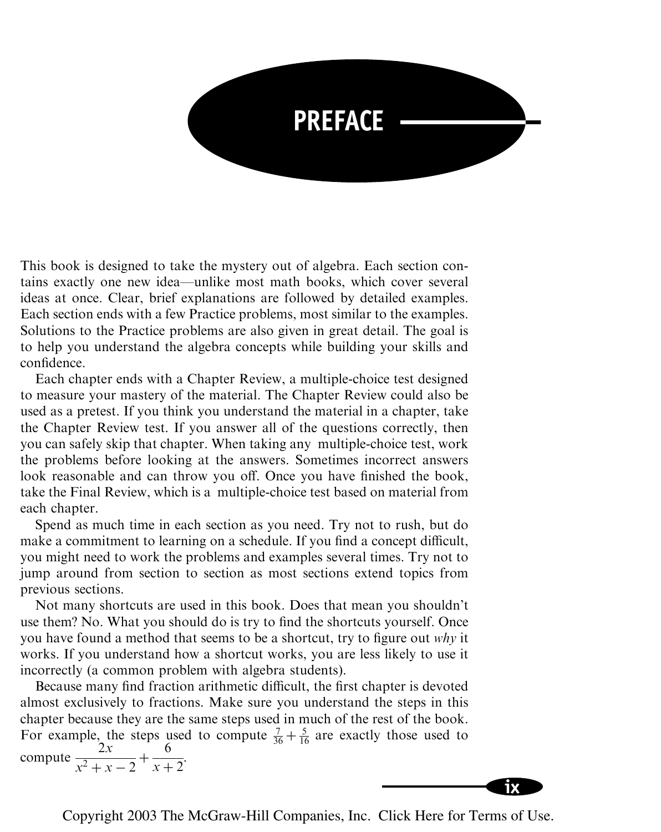

This book is designed to take the mystery out of algebra. Each section contains exactly one new idea—unlike most math books, which cover several ideas at once. Clear, brief explanations are followed by detailed examples. Each section ends with a few Practice problems, most similar to the examples. Solutions to the Practice problems are also given in great detail. The goal is to help you understand the algebra concepts while building your skills and confidence.

Each chapter ends with a Chapter Review, a multiple-choice test designed to measure your mastery of the material. The Chapter Review could also be used as a pretest. If you think you understand the material in a chapter, take the Chapter Review test. If you answer all of the questions correctly, then you can safely skip that chapter. When taking any multiple-choice test, work the problems before looking at the answers. Sometimes incorrect answers look reasonable and can throw you off. Once you have finished the book, take the Final Review, which is a multiple-choice test based on material from each chapter.

Spend as much time in each section as you need. Try not to rush, but do make a commitment to learning on a schedule. If you find a concept difficult, you might need to work the problems and examples several times. Try not to jump around from section to section as most sections extend topics from previous sections.

Not many shortcuts are used in this book. Does that mean you shouldn't use them? No. What you should do is try to find the shortcuts yourself. Once you have found a method that seems to be a shortcut, try to figure out why it works. If you understand how a shortcut works, you are less likely to use it incorrectly (a common problem with algebra students).

Because many find fraction arithmetic difficult, the first chapter is devoted almost exclusively to fractions. Make sure you understand the steps in this chapter because they are the same steps used in much of the rest of the book. For example, the steps used to compute  $\frac{7}{36} + \frac{5}{16}$  are exactly those used to compute  $\frac{2x}{2}$  $x^2 + x - 2$ <sup>+</sup> 6  $\frac{6}{x+2}$ .



Copyright 2003 The McGraw-Hill Companies, Inc. Click Here for Terms of Use.